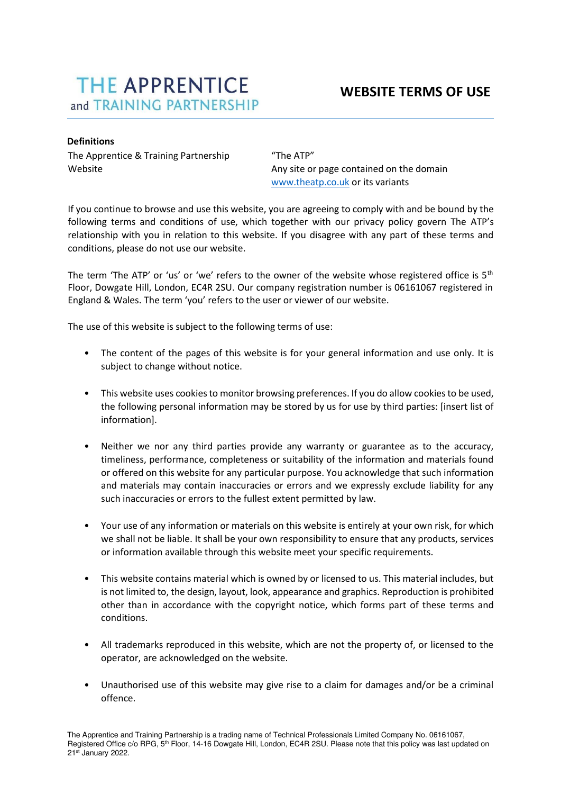## **Definitions**

The Apprentice & Training Partnership "The ATP"

Website **Any site or page contained on the domain** Any site or page contained on the domain [www.theatp.co.uk o](http://www.theatp.co.uk/)r its variants

If you continue to browse and use this website, you are agreeing to comply with and be bound by the following terms and conditions of use, which together with our privacy policy govern The ATP's relationship with you in relation to this website. If you disagree with any part of these terms and conditions, please do not use our website.

The term 'The ATP' or 'us' or 'we' refers to the owner of the website whose registered office is  $5<sup>th</sup>$ Floor, Dowgate Hill, London, EC4R 2SU. Our company registration number is 06161067 registered in England & Wales. The term 'you' refers to the user or viewer of our website.

The use of this website is subject to the following terms of use:

- The content of the pages of this website is for your general information and use only. It is subject to change without notice.
- This website uses cookies to monitor browsing preferences. If you do allow cookies to be used, the following personal information may be stored by us for use by third parties: [insert list of information].
- Neither we nor any third parties provide any warranty or guarantee as to the accuracy, timeliness, performance, completeness or suitability of the information and materials found or offered on this website for any particular purpose. You acknowledge that such information and materials may contain inaccuracies or errors and we expressly exclude liability for any such inaccuracies or errors to the fullest extent permitted by law.
- Your use of any information or materials on this website is entirely at your own risk, for which we shall not be liable. It shall be your own responsibility to ensure that any products, services or information available through this website meet your specific requirements.
- This website contains material which is owned by or licensed to us. This material includes, but is not limited to, the design, layout, look, appearance and graphics. Reproduction is prohibited other than in accordance with the copyright notice, which forms part of these terms and conditions.
- All trademarks reproduced in this website, which are not the property of, or licensed to the operator, are acknowledged on the website.
- Unauthorised use of this website may give rise to a claim for damages and/or be a criminal offence.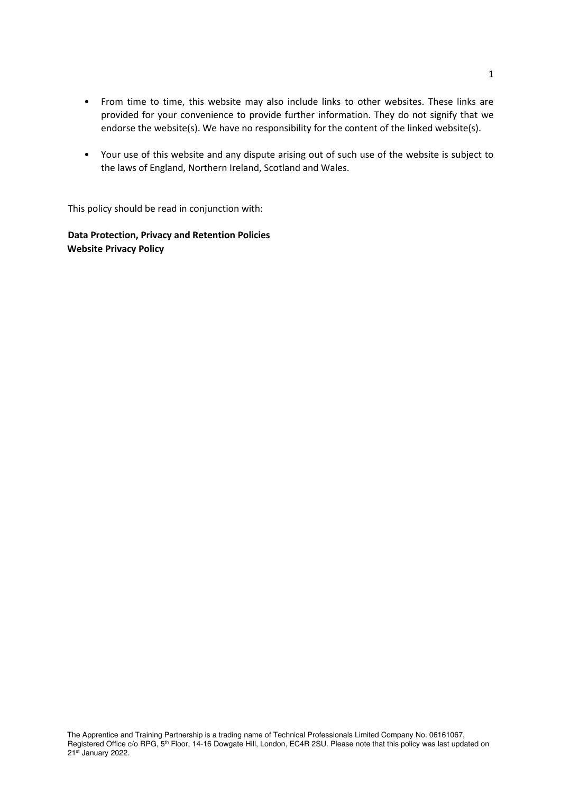- From time to time, this website may also include links to other websites. These links are provided for your convenience to provide further information. They do not signify that we endorse the website(s). We have no responsibility for the content of the linked website(s).
- Your use of this website and any dispute arising out of such use of the website is subject to the laws of England, Northern Ireland, Scotland and Wales.

This policy should be read in conjunction with:

**Data Protection, Privacy and Retention Policies Website Privacy Policy**